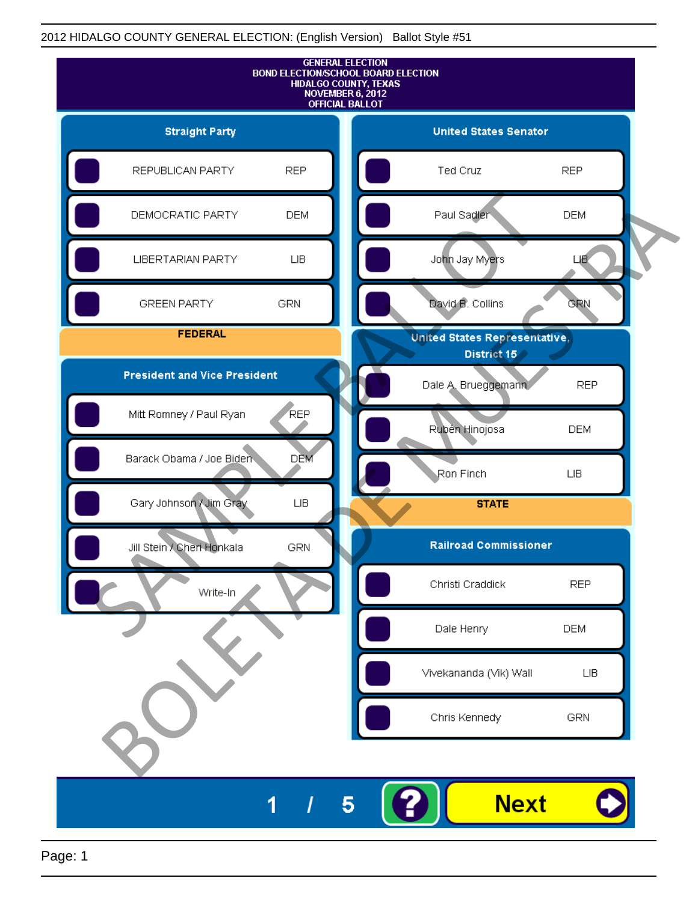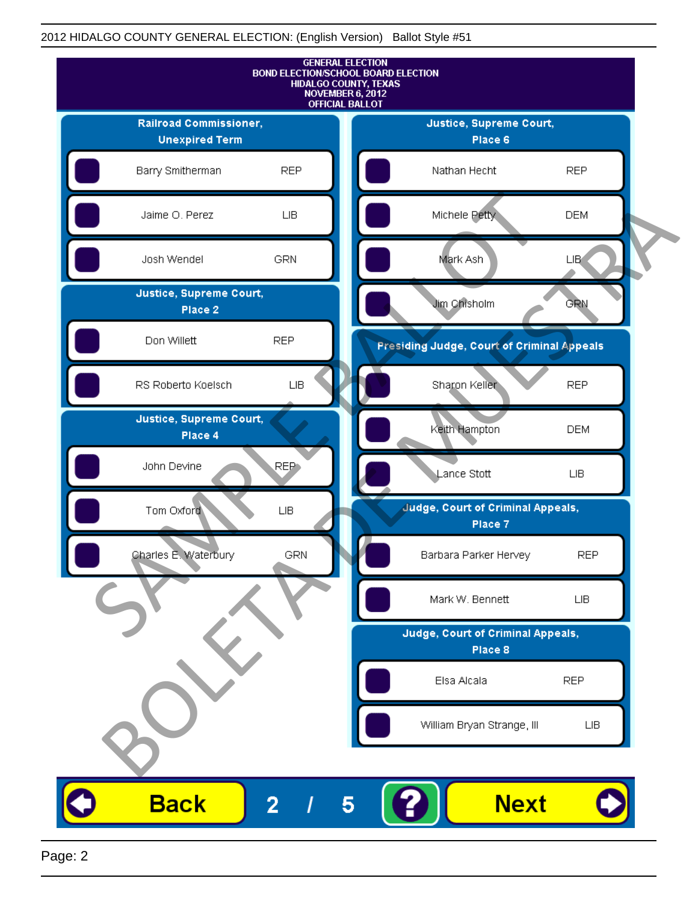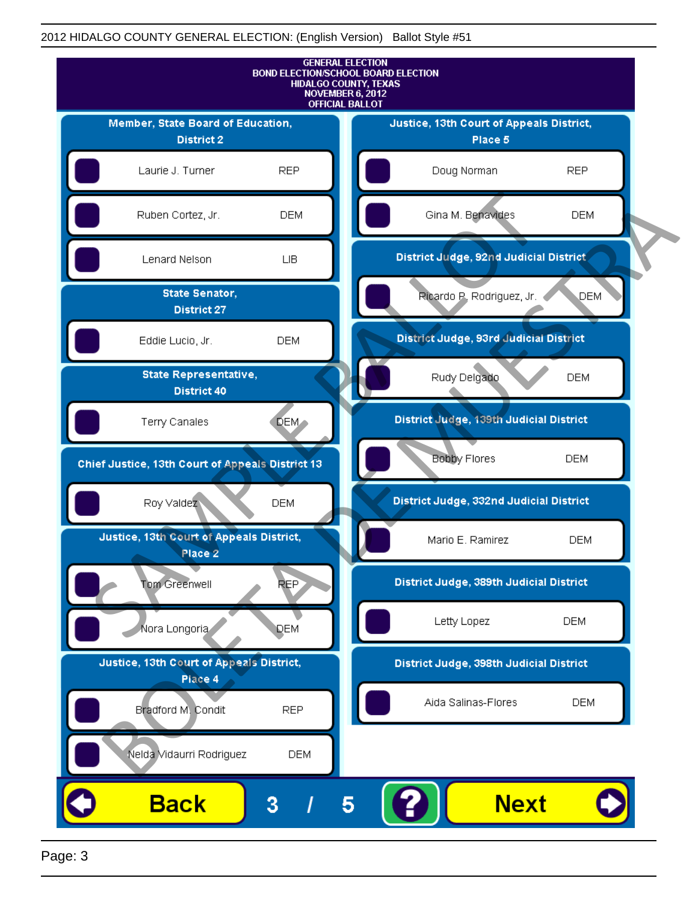

Page: 3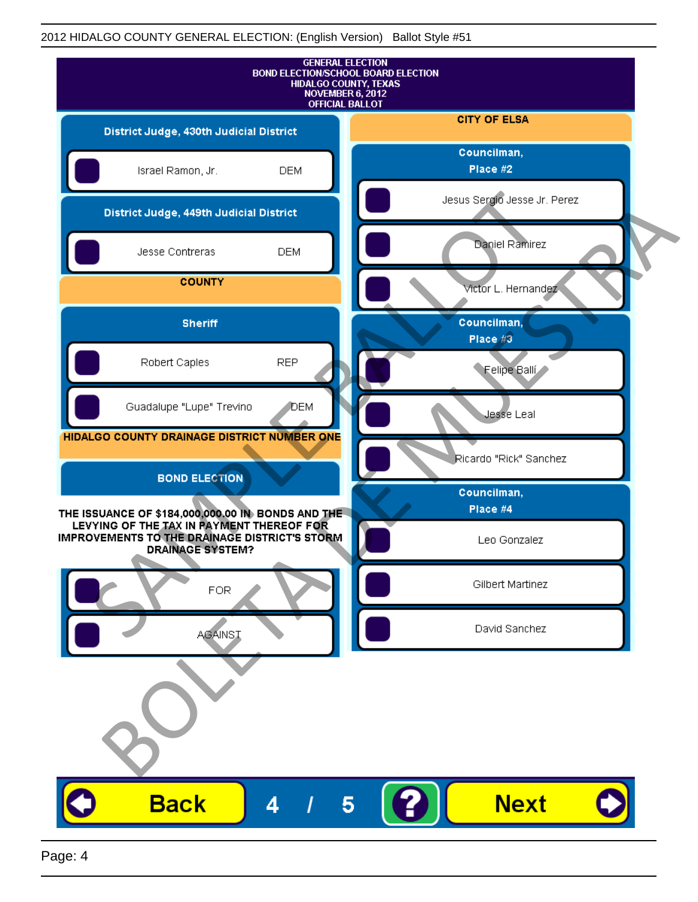| <b>GENERAL ELECTION</b><br><b>BOND ELECTION/SCHOOL BOARD ELECTION</b><br>HIDALGO COUNTY, TEXAS<br>NOVEMBER 6, 2012<br><b>OFFICIAL BALLOT</b> |                              |
|----------------------------------------------------------------------------------------------------------------------------------------------|------------------------------|
| District Judge, 430th Judicial District                                                                                                      | <b>CITY OF ELSA</b>          |
| Israel Ramon, Jr.<br><b>DEM</b>                                                                                                              | Councilman,<br>Place #2      |
| District Judge, 449th Judicial District                                                                                                      | Jesus Sergio Jesse Jr. Perez |
| Jesse Contreras<br><b>DEM</b>                                                                                                                | Daniel Ramirez               |
| <b>COUNTY</b>                                                                                                                                | Victor L. Hernandez          |
| <b>Sheriff</b>                                                                                                                               | Councilman,<br>Place #3      |
| <b>REP</b><br>Robert Caples                                                                                                                  | Felipe Balli                 |
| Guadalupe "Lupe" Trevino<br>DEM                                                                                                              | Jesse Leal                   |
| HIDALGO COUNTY DRAINAGE DISTRICT NUMBER ONE                                                                                                  | Ricardo "Rick" Sanchez       |
| <b>BOND ELECTION</b>                                                                                                                         | Councilman,                  |
| THE ISSUANCE OF \$184,000,000.00 IN BONDS AND THE<br>LEVYING OF THE TAX IN PAYMENT THEREOF FOR                                               | Place #4                     |
| IMPROVEMENTS TO THE DRAINAGE DISTRICT'S STORM<br><b>DRAINAGE SYSTEM?</b>                                                                     | Leo Gonzalez                 |
| FOR                                                                                                                                          | Gilbert Martinez             |
| <b>AGAINST</b>                                                                                                                               | David Sanchez                |
|                                                                                                                                              |                              |
| <b>Back</b><br>4                                                                                                                             | <b>Next</b><br>5             |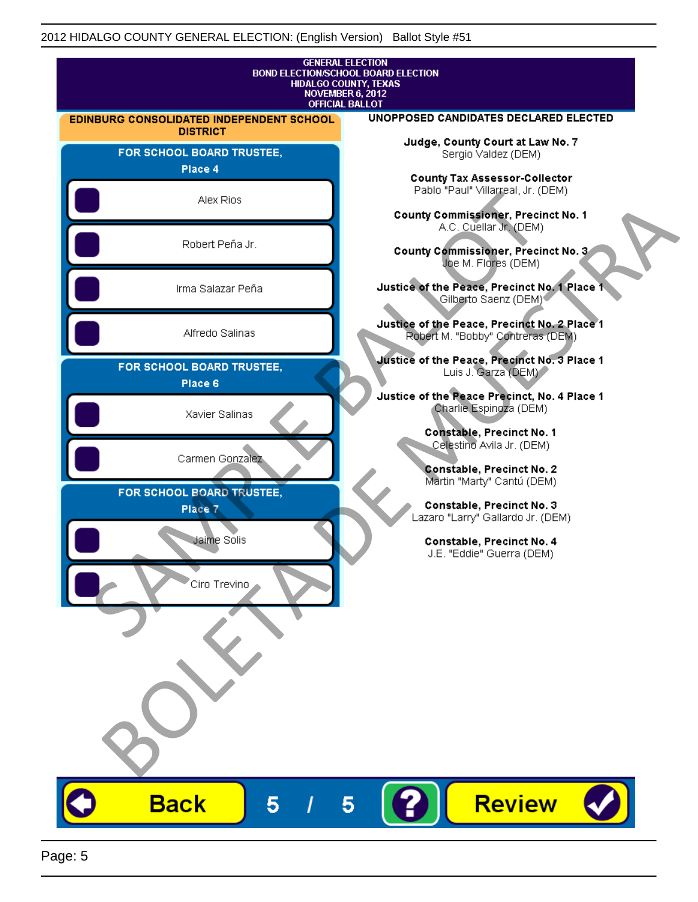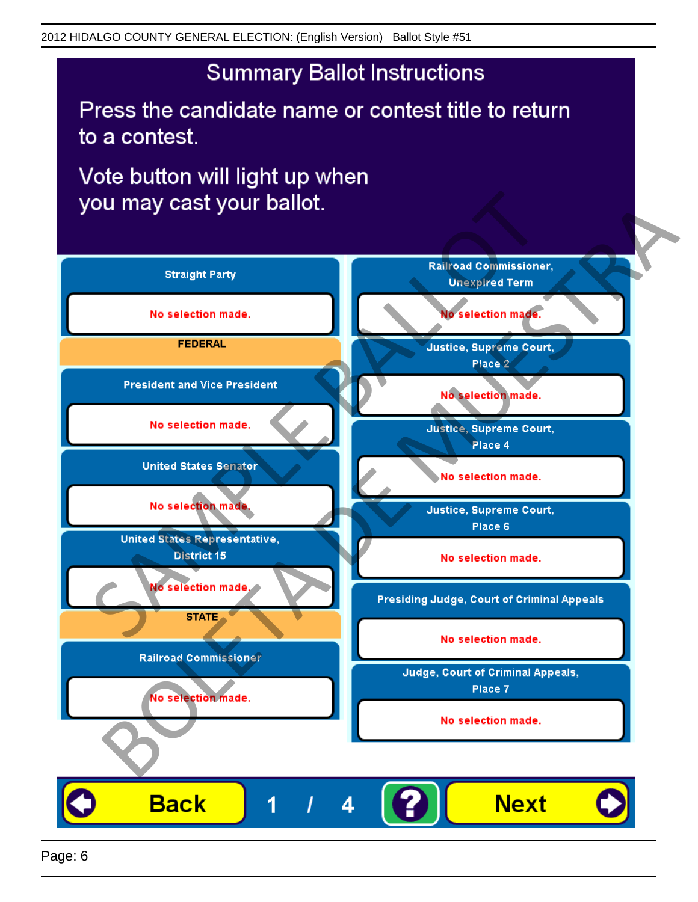Press the candidate name or contest title to return to a contest.

Vote button will light up when



Page: 6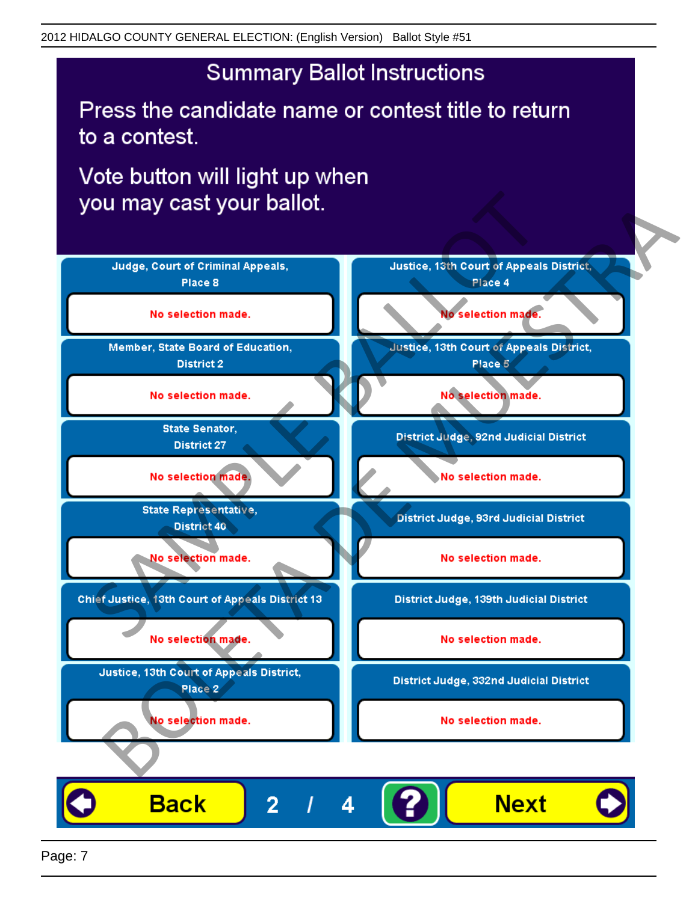Press the candidate name or contest title to return to a contest.

Vote button will light up when



Page: 7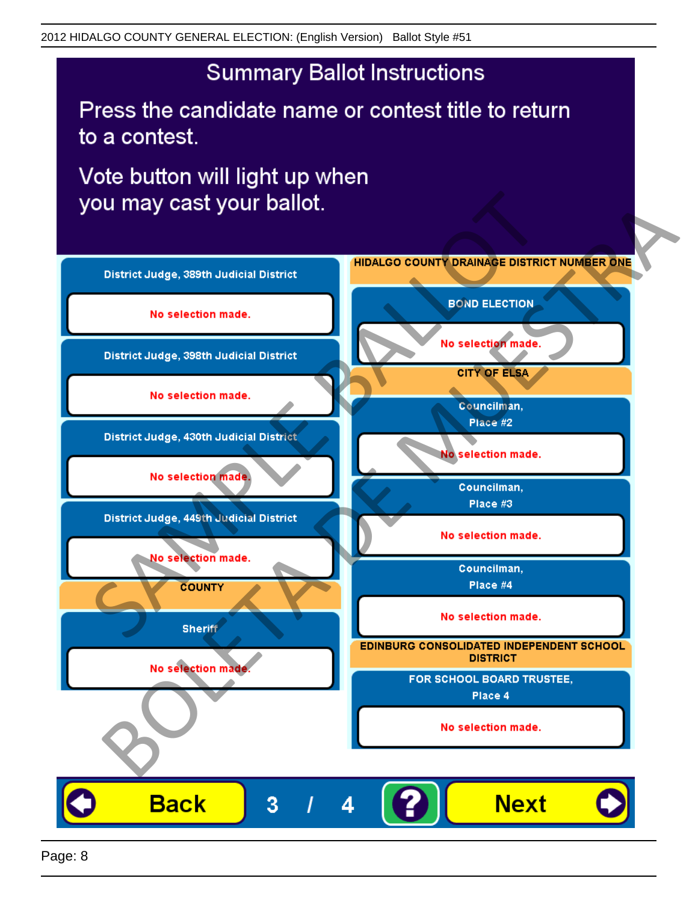Press the candidate name or contest title to return to a contest.

Vote button will light up when